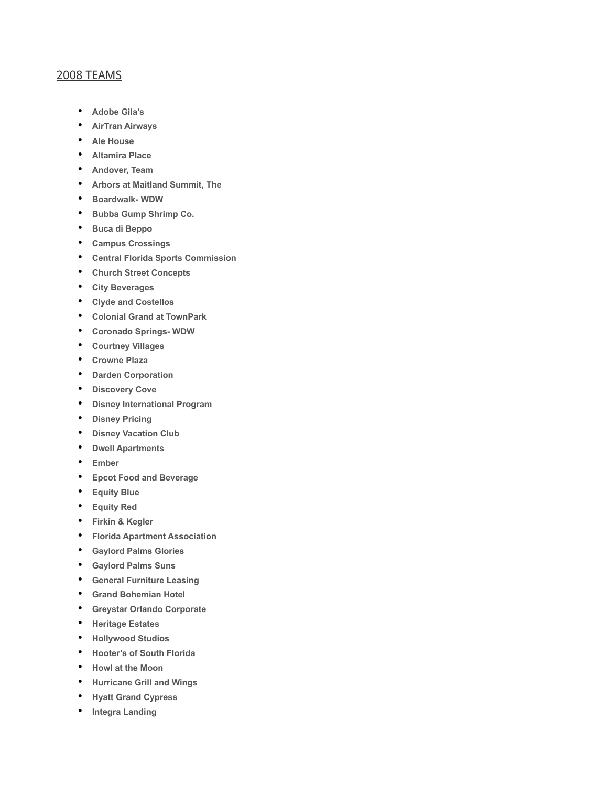## 2008 TEAMS

- **Adobe Gila's**
- **AirTran Airways**
- **Ale House**
- **Altamira Place**
- **Andover, Team**
- **Arbors at Maitland Summit, The**
- **Boardwalk- WDW**
- **Bubba Gump Shrimp Co.**
- **Buca di Beppo**
- **Campus Crossings**
- **Central Florida Sports Commission**
- **Church Street Concepts**
- **City Beverages**
- **Clyde and Costellos**
- **Colonial Grand at TownPark**
- **Coronado Springs- WDW**
- **Courtney Villages**
- **Crowne Plaza**
- **Darden Corporation**
- **Discovery Cove**
- **Disney International Program**
- **Disney Pricing**
- **Disney Vacation Club**
- **Dwell Apartments**
- **Ember**
- **Epcot Food and Beverage**
- **Equity Blue**
- **Equity Red**
- **Firkin & Kegler**
- **Florida Apartment Association**
- **Gaylord Palms Glories**
- **Gaylord Palms Suns**
- **General Furniture Leasing**
- **Grand Bohemian Hotel**
- **Greystar Orlando Corporate**
- **Heritage Estates**
- **Hollywood Studios**
- **Hooter's of South Florida**
- **Howl at the Moon**
- **Hurricane Grill and Wings**
- **Hyatt Grand Cypress**
- **Integra Landing**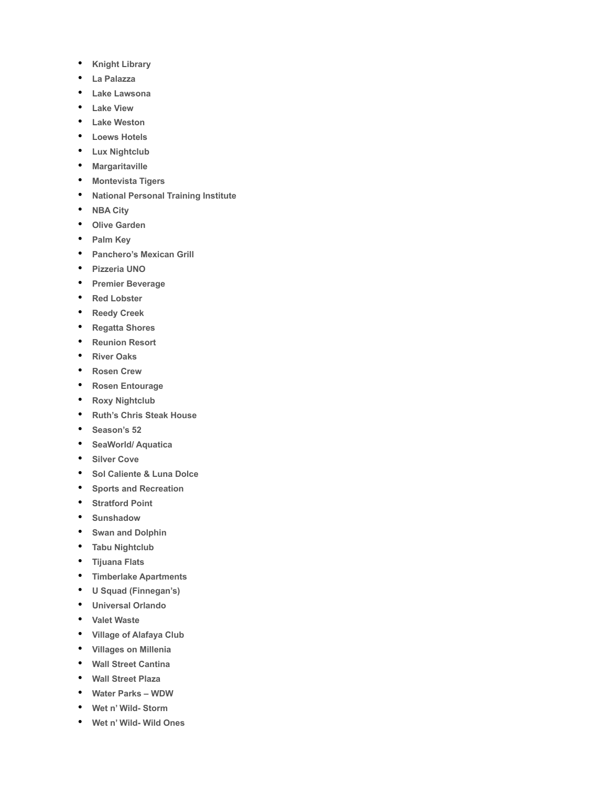- **Knight Library**
- **La Palazza**
- **Lake Lawsona**
- **Lake View**
- **Lake Weston**
- **Loews Hotels**
- **Lux Nightclub**
- **Margaritaville**
- **Montevista Tigers**
- **National Personal Training Institute**
- **NBA City**
- **Olive Garden**
- **Palm Key**
- **Panchero's Mexican Grill**
- **Pizzeria UNO**
- **Premier Beverage**
- **Red Lobster**
- **Reedy Creek**
- **Regatta Shores**
- **Reunion Resort**
- **River Oaks**
- **Rosen Crew**
- **Rosen Entourage**
- **Roxy Nightclub**
- **Ruth's Chris Steak House**
- **Season's 52**
- **SeaWorld/ Aquatica**
- **Silver Cove**
- **Sol Caliente & Luna Dolce**
- **Sports and Recreation**
- **Stratford Point**
- **Sunshadow**
- **Swan and Dolphin**
- **Tabu Nightclub**
- **Tijuana Flats**
- **Timberlake Apartments**
- **U Squad (Finnegan's)**
- **Universal Orlando**
- **Valet Waste**
- **Village of Alafaya Club**
- **Villages on Millenia**
- **Wall Street Cantina**
- **Wall Street Plaza**
- **Water Parks WDW**
- **Wet n' Wild- Storm**
- **Wet n' Wild- Wild Ones**